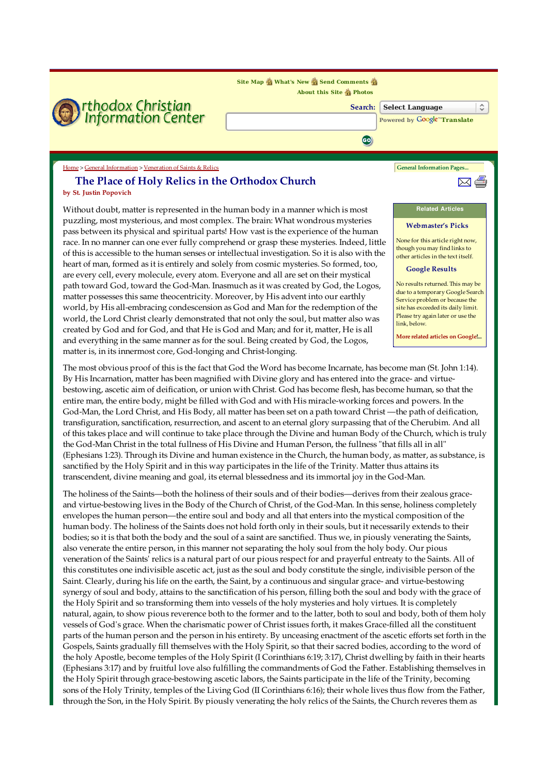

pass between its physical and spiritual parts! How vast is the experience of the human race. In no manner can one ever fully comprehend or grasp these mysteries. Indeed, little of this is accessible to the human senses or intellectual investigation. So it is also with the heart of man, formed as it is entirely and solely from cosmic mysteries. So formed, too, are every cell, every molecule, every atom. Everyone and all are set on their mystical path toward God, toward the God-Man. Inasmuch as it was created by God, the Logos, matter possesses this same theocentricity. Moreover, by His advent into our earthly world, by His all-embracing condescension as God and Man for the redemption of the world, the Lord Christ clearly demonstrated that not only the soul, but matter also was created by God and for God, and that He is God and Man; and for it, matter, He is all and everything in the same manner as for the soul. Being created by God, the Logos, matter is, in its innermost core, God-longing and Christ-longing.

Webmaster's Picks

None for this article right now, though you may find links to other articles in the text itself.

## Google Results

No results returned. This may be due to a temporary Google Search Service problem or because the site has exceeded its daily limit. Please try again later or use the link, below.

More related articles on Google!...

The most obvious proof of this is the fact that God the Word has become Incarnate, has become man (St. John 1:14). By His Incarnation, matter has been magnified with Divine glory and has entered into the grace- and virtuebestowing, ascetic aim of deification, or union with Christ. God has become flesh, has become human, so that the entire man, the entire body, might be filled with God and with His miracle-working forces and powers. In the God-Man, the Lord Christ, and His Body, all matter has been set on a path toward Christ —the path of deification, transfiguration, sanctification, resurrection, and ascent to an eternal glory surpassing that of the Cherubim. And all of this takes place and will continue to take place through the Divine and human Body of the Church, which is truly the God-Man Christ in the total fullness of His Divine and Human Person, the fullness "that fills all in all" (Ephesians 1:23). Through its Divine and human existence in the Church, the human body, as matter, as substance, is sanctified by the Holy Spirit and in this way participates in the life of the Trinity. Matter thus attains its transcendent, divine meaning and goal, its eternal blessedness and its immortal joy in the God-Man.

The holiness of the Saints—both the holiness of their souls and of their bodies—derives from their zealous graceand virtue-bestowing lives in the Body of the Church of Christ, of the God-Man. In this sense, holiness completely envelopes the human person—the entire soul and body and all that enters into the mystical composition of the human body. The holiness of the Saints does not hold forth only in their souls, but it necessarily extends to their bodies; so it is that both the body and the soul of a saint are sanctified. Thus we, in piously venerating the Saints, also venerate the entire person, in this manner not separating the holy soul from the holy body. Our pious veneration of the Saints' relics is a natural part of our pious respect for and prayerful entreaty to the Saints. All of this constitutes one indivisible ascetic act, just as the soul and body constitute the single, indivisible person of the Saint. Clearly, during his life on the earth, the Saint, by a continuous and singular grace- and virtue-bestowing synergy of soul and body, attains to the sanctification of his person, filling both the soul and body with the grace of the Holy Spirit and so transforming them into vessels of the holy mysteries and holy virtues. It is completely natural, again, to show pious reverence both to the former and to the latter, both to soul and body, both of them holy vessels of God's grace. When the charismatic power of Christ issues forth, it makes Grace-filled all the constituent parts of the human person and the person in his entirety. By unceasing enactment of the ascetic efforts set forth in the Gospels, Saints gradually fill themselves with the Holy Spirit, so that their sacred bodies, according to the word of the holy Apostle, become temples of the Holy Spirit (I Corinthians 6:19; 3:17), Christ dwelling by faith in their hearts (Ephesians 3:17) and by fruitful love also fulfilling the commandments of God the Father. Establishing themselves in the Holy Spirit through grace-bestowing ascetic labors, the Saints participate in the life of the Trinity, becoming sons of the Holy Trinity, temples of the Living God (II Corinthians 6:16); their whole lives thus flow from the Father, through the Son, in the Holy Spirit. By piously venerating the holy relics of the Saints, the Church reveres them as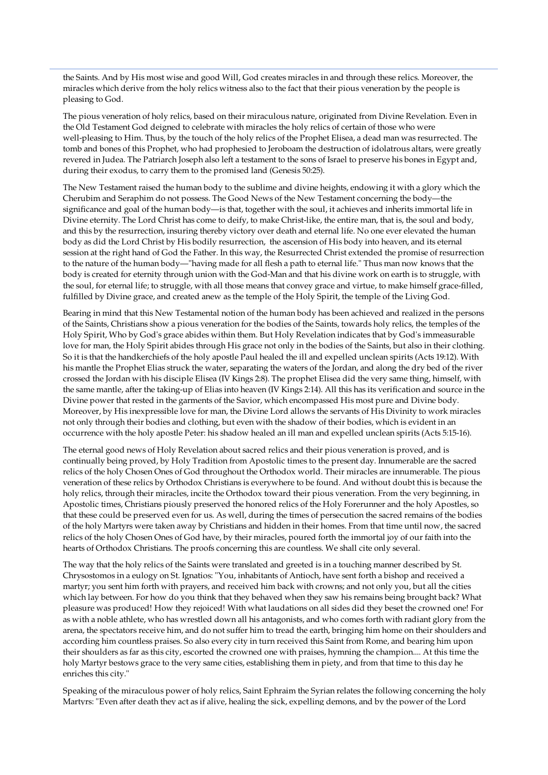the Saints. And by His most wise and good Will, God creates miracles in and through these relics. Moreover, the miracles which derive from the holy relics witness also to the fact that their pious veneration by the people is pleasing to God.

The pious veneration of holy relics, based on their miraculous nature, originated from Divine Revelation. Even in the Old Testament God deigned to celebrate with miracles the holy relics of certain of those who were well-pleasing to Him. Thus, by the touch of the holy relics of the Prophet Elisea, a dead man was resurrected. The tomb and bones of this Prophet, who had prophesied to Jeroboam the destruction of idolatrous altars, were greatly revered in Judea. The Patriarch Joseph also left a testament to the sons of Israel to preserve his bones in Egypt and, during their exodus, to carry them to the promised land (Genesis 50:25).

The New Testament raised the human body to the sublime and divine heights, endowing it with a glory which the Cherubim and Seraphim do not possess. The Good News of the New Testament concerning the body—the significance and goal of the human body—is that, together with the soul, it achieves and inherits immortal life in Divine eternity. The Lord Christ has come to deify, to make Christ-like, the entire man, that is, the soul and body, and this by the resurrection, insuring thereby victory over death and eternal life. No one ever elevated the human body as did the Lord Christ by His bodily resurrection, the ascension of His body into heaven, and its eternal session at the right hand of God the Father. In this way, the Resurrected Christ extended the promise of resurrection to the nature of the human body—"having made for all flesh a path to eternal life." Thus man now knows that the body is created for eternity through union with the God-Man and that his divine work on earth is to struggle, with the soul, for eternal life; to struggle, with all those means that convey grace and virtue, to make himself grace-filled, fulfilled by Divine grace, and created anew as the temple of the Holy Spirit, the temple of the Living God.

Bearing in mind that this New Testamental notion of the human body has been achieved and realized in the persons of the Saints, Christians show a pious veneration for the bodies of the Saints, towards holy relics, the temples of the Holy Spirit, Who by God's grace abides within them. But Holy Revelation indicates that by God's immeasurable love for man, the Holy Spirit abides through His grace not only in the bodies of the Saints, but also in their clothing. So it is that the handkerchiefs of the holy apostle Paul healed the ill and expelled unclean spirits (Acts 19:12). With his mantle the Prophet Elias struck the water, separating the waters of the Jordan, and along the dry bed of the river crossed the Jordan with his disciple Elisea (IV Kings 2:8). The prophet Elisea did the very same thing, himself, with the same mantle, after the taking-up of Elias into heaven (IV Kings 2:14). All this has its verification and source in the Divine power that rested in the garments of the Savior, which encompassed His most pure and Divine body. Moreover, by His inexpressible love for man, the Divine Lord allows the servants of His Divinity to work miracles not only through their bodies and clothing, but even with the shadow of their bodies, which is evident in an occurrence with the holy apostle Peter: his shadow healed an ill man and expelled unclean spirits (Acts 5:15-16).

The eternal good news of Holy Revelation about sacred relics and their pious veneration is proved, and is continually being proved, by Holy Tradition from Apostolic times to the present day. Innumerable are the sacred relics of the holy Chosen Ones of God throughout the Orthodox world. Their miracles are innumerable. The pious veneration of these relics by Orthodox Christians is everywhere to be found. And without doubt this is because the holy relics, through their miracles, incite the Orthodox toward their pious veneration. From the very beginning, in Apostolic times, Christians piously preserved the honored relics of the Holy Forerunner and the holy Apostles, so that these could be preserved even for us. As well, during the times of persecution the sacred remains of the bodies of the holy Martyrs were taken away by Christians and hidden in their homes. From that time until now, the sacred relics of the holy Chosen Ones of God have, by their miracles, poured forth the immortal joy of our faith into the hearts of Orthodox Christians. The proofs concerning this are countless. We shall cite only several.

The way that the holy relics of the Saints were translated and greeted is in a touching manner described by St. Chrysostomos in a eulogy on St. Ignatios: "You, inhabitants of Antioch, have sent forth a bishop and received a martyr; you sent him forth with prayers, and received him back with crowns; and not only you, but all the cities which lay between. For how do you think that they behaved when they saw his remains being brought back? What pleasure was produced! How they rejoiced! With what laudations on all sides did they beset the crowned one! For as with a noble athlete, who has wrestled down all his antagonists, and who comes forth with radiant glory from the arena, the spectators receive him, and do not suffer him to tread the earth, bringing him home on their shoulders and according him countless praises. So also every city in turn received this Saint from Rome, and bearing him upon their shoulders as far as this city, escorted the crowned one with praises, hymning the champion.... At this time the holy Martyr bestows grace to the very same cities, establishing them in piety, and from that time to this day he enriches this city."

Speaking of the miraculous power of holy relics, Saint Ephraim the Syrian relates the following concerning the holy Martyrs: "Even after death they act as if alive, healing the sick, expelling demons, and by the power of the Lord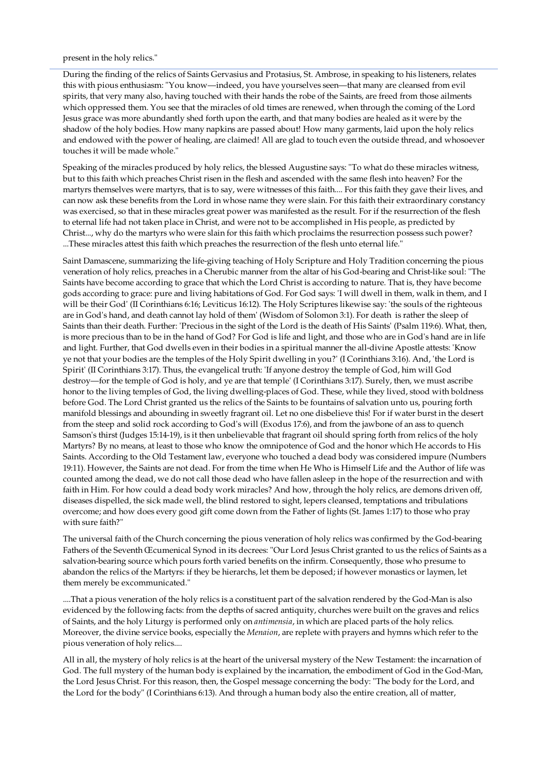present in the holy relics."

During the finding of the relics of Saints Gervasius and Protasius, St. Ambrose, in speaking to his listeners, relates this with pious enthusiasm: "You know—indeed, you have yourselves seen—that many are cleansed from evil spirits, that very many also, having touched with their hands the robe of the Saints, are freed from those ailments which oppressed them. You see that the miracles of old times are renewed, when through the coming of the Lord Jesus grace was more abundantly shed forth upon the earth, and that many bodies are healed as it were by the shadow of the holy bodies. How many napkins are passed about! How many garments, laid upon the holy relics and endowed with the power of healing, are claimed! All are glad to touch even the outside thread, and whosoever touches it will be made whole."

Speaking of the miracles produced by holy relics, the blessed Augustine says: "To what do these miracles witness, but to this faith which preaches Christ risen in the flesh and ascended with the same flesh into heaven? For the martyrs themselves were martyrs, that is to say, were witnesses of this faith.... For this faith they gave their lives, and can now ask these benefits from the Lord in whose name they were slain. For this faith their extraordinary constancy was exercised, so that in these miracles great power was manifested as the result. For if the resurrection of the flesh to eternal life had not taken place in Christ, and were not to be accomplished in His people, as predicted by Christ..., why do the martyrs who were slain for this faith which proclaims the resurrection possess such power? ...These miracles attest this faith which preaches the resurrection of the flesh unto eternal life."

Saint Damascene, summarizing the life-giving teaching of Holy Scripture and Holy Tradition concerning the pious veneration of holy relics, preaches in a Cherubic manner from the altar of his God-bearing and Christ-like soul: "The Saints have become according to grace that which the Lord Christ is according to nature. That is, they have become gods according to grace: pure and living habitations of God. For God says: 'I will dwell in them, walk in them, and I will be their God' (II Corinthians 6:16; Leviticus 16:12). The Holy Scriptures likewise say: 'the souls of the righteous are in God's hand, and death cannot lay hold of them' (Wisdom of Solomon 3:1). For death is rather the sleep of Saints than their death. Further: 'Precious in the sight of the Lord is the death of His Saints' (Psalm 119:6). What, then, is more precious than to be in the hand of God? For God is life and light, and those who are in God's hand are in life and light. Further, that God dwells even in their bodies in a spiritual manner the all-divine Apostle attests: 'Know ye not that your bodies are the temples of the Holy Spirit dwelling in you?' (I Corinthians 3:16). And, 'the Lord is Spirit' (II Corinthians 3:17). Thus, the evangelical truth: 'If anyone destroy the temple of God, him will God destroy—for the temple of God is holy, and ye are that temple' (I Corinthians 3:17). Surely, then, we must ascribe honor to the living temples of God, the living dwelling-places of God. These, while they lived, stood with boldness before God. The Lord Christ granted us the relics of the Saints to be fountains of salvation unto us, pouring forth manifold blessings and abounding in sweetly fragrant oil. Let no one disbelieve this! For if water burst in the desert from the steep and solid rock according to God's will (Exodus 17:6), and from the jawbone of an ass to quench Samson's thirst (Judges 15:14-19), is it then unbelievable that fragrant oil should spring forth from relics of the holy Martyrs? By no means, at least to those who know the omnipotence of God and the honor which He accords to His Saints. According to the Old Testament law, everyone who touched a dead body was considered impure (Numbers 19:11). However, the Saints are not dead. For from the time when He Who is Himself Life and the Author of life was counted among the dead, we do not call those dead who have fallen asleep in the hope of the resurrection and with faith in Him. For how could a dead body work miracles? And how, through the holy relics, are demons driven off, diseases dispelled, the sick made well, the blind restored to sight, lepers cleansed, temptations and tribulations overcome; and how does every good gift come down from the Father of lights (St. James 1:17) to those who pray with sure faith?"

The universal faith of the Church concerning the pious veneration of holy relics was confirmed by the God-bearing Fathers of the Seventh Œcumenical Synod in its decrees: "Our Lord Jesus Christ granted to us the relics of Saints as a salvation-bearing source which pours forth varied benefits on the infirm. Consequently, those who presume to abandon the relics of the Martyrs: if they be hierarchs, let them be deposed; if however monastics or laymen, let them merely be excommunicated."

....That a pious veneration of the holy relics is a constituent part of the salvation rendered by the God-Man is also evidenced by the following facts: from the depths of sacred antiquity, churches were built on the graves and relics of Saints, and the holy Liturgy is performed only on antimensia, in which are placed parts of the holy relics. Moreover, the divine service books, especially the Menaion, are replete with prayers and hymns which refer to the pious veneration of holy relics....

All in all, the mystery of holy relics is at the heart of the universal mystery of the New Testament: the incarnation of God. The full mystery of the human body is explained by the incarnation, the embodiment of God in the God-Man, the Lord Jesus Christ. For this reason, then, the Gospel message concerning the body: "The body for the Lord, and the Lord for the body" (I Corinthians 6:13). And through a human body also the entire creation, all of matter,